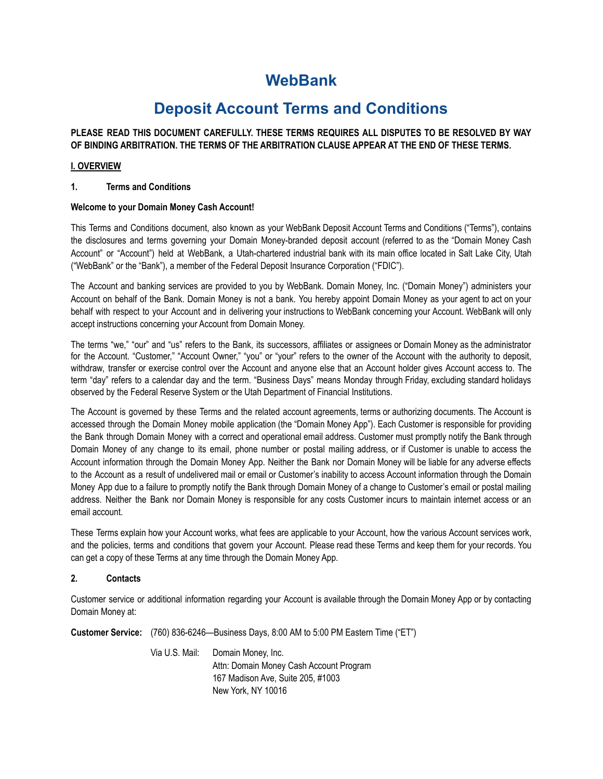# **WebBank**

# **Deposit Account Terms and Conditions**

# **PLEASE READ THIS DOCUMENT CAREFULLY. THESE TERMS REQUIRES ALL DISPUTES TO BE RESOLVED BY WAY OF BINDING ARBITRATION. THE TERMS OF THE ARBITRATION CLAUSE APPEAR AT THE END OF THESE TERMS.**

# **I. OVERVIEW**

## **1. Terms and Conditions**

## **Welcome to your Domain Money Cash Account!**

This Terms and Conditions document, also known as your WebBank Deposit Account Terms and Conditions ("Terms"), contains the disclosures and terms governing your Domain Money-branded deposit account (referred to as the "Domain Money Cash Account" or "Account") held at WebBank, a Utah-chartered industrial bank with its main office located in Salt Lake City, Utah ("WebBank" or the "Bank"), a member of the Federal Deposit Insurance Corporation ("FDIC").

The Account and banking services are provided to you by WebBank. Domain Money, Inc. ("Domain Money") administers your Account on behalf of the Bank. Domain Money is not a bank. You hereby appoint Domain Money as your agent to act on your behalf with respect to your Account and in delivering your instructions to WebBank concerning your Account. WebBank will only accept instructions concerning your Account from Domain Money.

The terms "we," "our" and "us" refers to the Bank, its successors, affiliates or assignees or Domain Money as the administrator for the Account. "Customer," "Account Owner," "you" or "your" refers to the owner of the Account with the authority to deposit, withdraw, transfer or exercise control over the Account and anyone else that an Account holder gives Account access to. The term "day" refers to a calendar day and the term. "Business Days" means Monday through Friday, excluding standard holidays observed by the Federal Reserve System or the Utah Department of Financial Institutions.

The Account is governed by these Terms and the related account agreements, terms or authorizing documents. The Account is accessed through the Domain Money mobile application (the "Domain Money App"). Each Customer is responsible for providing the Bank through Domain Money with a correct and operational email address. Customer must promptly notify the Bank through Domain Money of any change to its email, phone number or postal mailing address, or if Customer is unable to access the Account information through the Domain Money App. Neither the Bank nor Domain Money will be liable for any adverse effects to the Account as a result of undelivered mail or email or Customer's inability to access Account information through the Domain Money App due to a failure to promptly notify the Bank through Domain Money of a change to Customer's email or postal mailing address. Neither the Bank nor Domain Money is responsible for any costs Customer incurs to maintain internet access or an email account.

These Terms explain how your Account works, what fees are applicable to your Account, how the various Account services work, and the policies, terms and conditions that govern your Account. Please read these Terms and keep them for your records. You can get a copy of these Terms at any time through the Domain Money App.

## **2. Contacts**

Customer service or additional information regarding your Account is available through the Domain Money App or by contacting Domain Money at:

**Customer Service:** (760) 836-6246—Business Days, 8:00 AM to 5:00 PM Eastern Time ("ET")

Via U.S. Mail: Domain Money, Inc. Attn: Domain Money Cash Account Program 167 Madison Ave, Suite 205, #1003 New York, NY 10016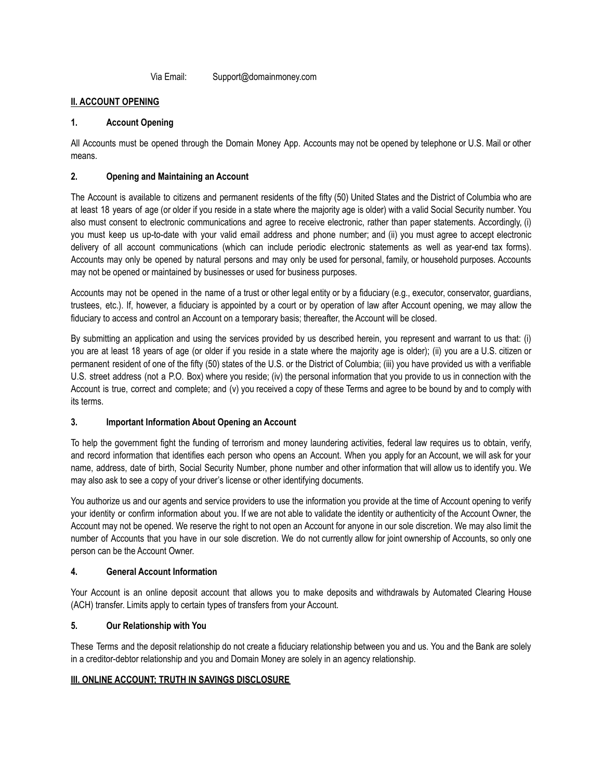Via Email: Support@domainmoney.com

## **II. ACCOUNT OPENING**

## **1. Account Opening**

All Accounts must be opened through the Domain Money App. Accounts may not be opened by telephone or U.S. Mail or other means.

# **2. Opening and Maintaining an Account**

The Account is available to citizens and permanent residents of the fifty (50) United States and the District of Columbia who are at least 18 years of age (or older if you reside in a state where the majority age is older) with a valid Social Security number. You also must consent to electronic communications and agree to receive electronic, rather than paper statements. Accordingly, (i) you must keep us up-to-date with your valid email address and phone number; and (ii) you must agree to accept electronic delivery of all account communications (which can include periodic electronic statements as well as year-end tax forms). Accounts may only be opened by natural persons and may only be used for personal, family, or household purposes. Accounts may not be opened or maintained by businesses or used for business purposes.

Accounts may not be opened in the name of a trust or other legal entity or by a fiduciary (e.g., executor, conservator, guardians, trustees, etc.). If, however, a fiduciary is appointed by a court or by operation of law after Account opening, we may allow the fiduciary to access and control an Account on a temporary basis; thereafter, the Account will be closed.

By submitting an application and using the services provided by us described herein, you represent and warrant to us that: (i) you are at least 18 years of age (or older if you reside in a state where the majority age is older); (ii) you are a U.S. citizen or permanent resident of one of the fifty (50) states of the U.S. or the District of Columbia; (iii) you have provided us with a verifiable U.S. street address (not a P.O. Box) where you reside; (iv) the personal information that you provide to us in connection with the Account is true, correct and complete; and (v) you received a copy of these Terms and agree to be bound by and to comply with its terms.

## **3. Important Information About Opening an Account**

To help the government fight the funding of terrorism and money laundering activities, federal law requires us to obtain, verify, and record information that identifies each person who opens an Account. When you apply for an Account, we will ask for your name, address, date of birth, Social Security Number, phone number and other information that will allow us to identify you. We may also ask to see a copy of your driver's license or other identifying documents.

You authorize us and our agents and service providers to use the information you provide at the time of Account opening to verify your identity or confirm information about you. If we are not able to validate the identity or authenticity of the Account Owner, the Account may not be opened. We reserve the right to not open an Account for anyone in our sole discretion. We may also limit the number of Accounts that you have in our sole discretion. We do not currently allow for joint ownership of Accounts, so only one person can be the Account Owner.

## **4. General Account Information**

Your Account is an online deposit account that allows you to make deposits and withdrawals by Automated Clearing House (ACH) transfer. Limits apply to certain types of transfers from your Account.

## **5. Our Relationship with You**

These Terms and the deposit relationship do not create a fiduciary relationship between you and us. You and the Bank are solely in a creditor-debtor relationship and you and Domain Money are solely in an agency relationship.

## **III. ONLINE ACCOUNT; TRUTH IN SAVINGS DISCLOSURE**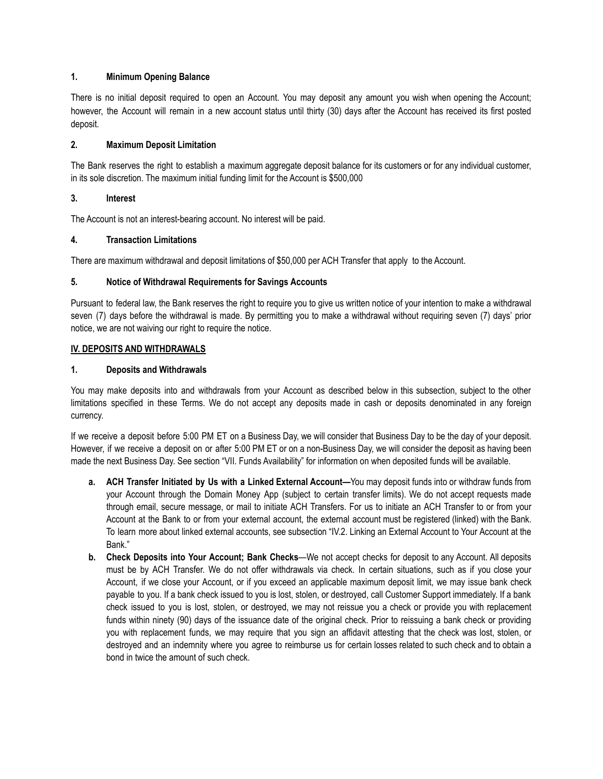#### **1. Minimum Opening Balance**

There is no initial deposit required to open an Account. You may deposit any amount you wish when opening the Account; however, the Account will remain in a new account status until thirty (30) days after the Account has received its first posted deposit.

## **2. Maximum Deposit Limitation**

The Bank reserves the right to establish a maximum aggregate deposit balance for its customers or for any individual customer, in its sole discretion. The maximum initial funding limit for the Account is \$500,000

#### **3. Interest**

The Account is not an interest-bearing account. No interest will be paid.

#### **4. Transaction Limitations**

There are maximum withdrawal and deposit limitations of \$50,000 per ACH Transfer that apply to the Account.

#### **5. Notice of Withdrawal Requirements for Savings Accounts**

Pursuant to federal law, the Bank reserves the right to require you to give us written notice of your intention to make a withdrawal seven (7) days before the withdrawal is made. By permitting you to make a withdrawal without requiring seven (7) days' prior notice, we are not waiving our right to require the notice.

#### **IV. DEPOSITS AND WITHDRAWALS**

#### **1. Deposits and Withdrawals**

You may make deposits into and withdrawals from your Account as described below in this subsection, subject to the other limitations specified in these Terms. We do not accept any deposits made in cash or deposits denominated in any foreign currency.

If we receive a deposit before 5:00 PM ET on a Business Day, we will consider that Business Day to be the day of your deposit. However, if we receive a deposit on or after 5:00 PM ET or on a non-Business Day, we will consider the deposit as having been made the next Business Day. See section "VII. Funds Availability" for information on when deposited funds will be available.

- **a. ACH Transfer Initiated by Us with a Linked External Account—**You may deposit funds into or withdraw funds from your Account through the Domain Money App (subject to certain transfer limits). We do not accept requests made through email, secure message, or mail to initiate ACH Transfers. For us to initiate an ACH Transfer to or from your Account at the Bank to or from your external account, the external account must be registered (linked) with the Bank. To learn more about linked external accounts, see subsection "IV.2. Linking an External Account to Your Account at the Bank."
- **b. Check Deposits into Your Account; Bank Checks**—We not accept checks for deposit to any Account. All deposits must be by ACH Transfer. We do not offer withdrawals via check. In certain situations, such as if you close your Account, if we close your Account, or if you exceed an applicable maximum deposit limit, we may issue bank check payable to you. If a bank check issued to you is lost, stolen, or destroyed, call Customer Support immediately. If a bank check issued to you is lost, stolen, or destroyed, we may not reissue you a check or provide you with replacement funds within ninety (90) days of the issuance date of the original check. Prior to reissuing a bank check or providing you with replacement funds, we may require that you sign an affidavit attesting that the check was lost, stolen, or destroyed and an indemnity where you agree to reimburse us for certain losses related to such check and to obtain a bond in twice the amount of such check.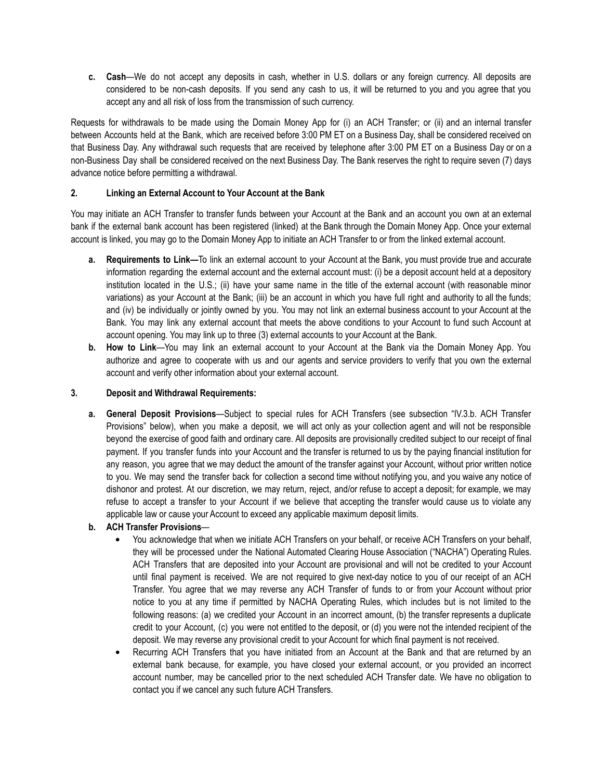**c. Cash**—We do not accept any deposits in cash, whether in U.S. dollars or any foreign currency. All deposits are considered to be non-cash deposits. If you send any cash to us, it will be returned to you and you agree that you accept any and all risk of loss from the transmission of such currency.

Requests for withdrawals to be made using the Domain Money App for (i) an ACH Transfer; or (ii) and an internal transfer between Accounts held at the Bank, which are received before 3:00 PM ET on a Business Day, shall be considered received on that Business Day. Any withdrawal such requests that are received by telephone after 3:00 PM ET on a Business Day or on a non-Business Day shall be considered received on the next Business Day. The Bank reserves the right to require seven (7) days advance notice before permitting a withdrawal.

## **2. Linking an External Account to Your Account at the Bank**

You may initiate an ACH Transfer to transfer funds between your Account at the Bank and an account you own at an external bank if the external bank account has been registered (linked) at the Bank through the Domain Money App. Once your external account is linked, you may go to the Domain Money App to initiate an ACH Transfer to or from the linked external account.

- **a. Requirements to Link—**To link an external account to your Account at the Bank, you must provide true and accurate information regarding the external account and the external account must: (i) be a deposit account held at a depository institution located in the U.S.; (ii) have your same name in the title of the external account (with reasonable minor variations) as your Account at the Bank; (iii) be an account in which you have full right and authority to all the funds; and (iv) be individually or jointly owned by you. You may not link an external business account to your Account at the Bank. You may link any external account that meets the above conditions to your Account to fund such Account at account opening. You may link up to three (3) external accounts to your Account at the Bank.
- **b. How to Link**—You may link an external account to your Account at the Bank via the Domain Money App. You authorize and agree to cooperate with us and our agents and service providers to verify that you own the external account and verify other information about your external account.

#### **3. Deposit and Withdrawal Requirements:**

**a. General Deposit Provisions**—Subject to special rules for ACH Transfers (see subsection "IV.3.b. ACH Transfer Provisions" below), when you make a deposit, we will act only as your collection agent and will not be responsible beyond the exercise of good faith and ordinary care. All deposits are provisionally credited subject to our receipt of final payment. If you transfer funds into your Account and the transfer is returned to us by the paying financial institution for any reason, you agree that we may deduct the amount of the transfer against your Account, without prior written notice to you. We may send the transfer back for collection a second time without notifying you, and you waive any notice of dishonor and protest. At our discretion, we may return, reject, and/or refuse to accept a deposit; for example, we may refuse to accept a transfer to your Account if we believe that accepting the transfer would cause us to violate any applicable law or cause your Account to exceed any applicable maximum deposit limits.

## **b. ACH Transfer Provisions**—

- **•** You acknowledge that when we initiate ACH Transfers on your behalf, or receive ACH Transfers on your behalf, they will be processed under the National Automated Clearing House Association ("NACHA") Operating Rules. ACH Transfers that are deposited into your Account are provisional and will not be credited to your Account until final payment is received. We are not required to give next-day notice to you of our receipt of an ACH Transfer. You agree that we may reverse any ACH Transfer of funds to or from your Account without prior notice to you at any time if permitted by NACHA Operating Rules, which includes but is not limited to the following reasons: (a) we credited your Account in an incorrect amount, (b) the transfer represents a duplicate credit to your Account, (c) you were not entitled to the deposit, or (d) you were not the intended recipient of the deposit. We may reverse any provisional credit to your Account for which final payment is not received.
- **•** Recurring ACH Transfers that you have initiated from an Account at the Bank and that are returned by an external bank because, for example, you have closed your external account, or you provided an incorrect account number, may be cancelled prior to the next scheduled ACH Transfer date. We have no obligation to contact you if we cancel any such future ACH Transfers.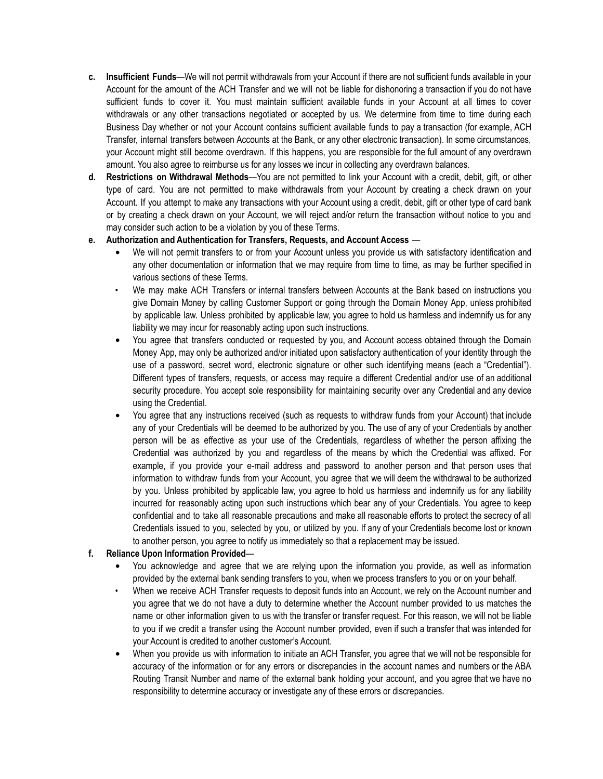- **c. Insufficient Funds**—We will not permit withdrawals from your Account if there are not sufficient funds available in your Account for the amount of the ACH Transfer and we will not be liable for dishonoring a transaction if you do not have sufficient funds to cover it. You must maintain sufficient available funds in your Account at all times to cover withdrawals or any other transactions negotiated or accepted by us. We determine from time to time during each Business Day whether or not your Account contains sufficient available funds to pay a transaction (for example, ACH Transfer, internal transfers between Accounts at the Bank, or any other electronic transaction). In some circumstances, your Account might still become overdrawn. If this happens, you are responsible for the full amount of any overdrawn amount. You also agree to reimburse us for any losses we incur in collecting any overdrawn balances.
- **d. Restrictions on Withdrawal Methods**—You are not permitted to link your Account with a credit, debit, gift, or other type of card. You are not permitted to make withdrawals from your Account by creating a check drawn on your Account. If you attempt to make any transactions with your Account using a credit, debit, gift or other type of card bank or by creating a check drawn on your Account, we will reject and/or return the transaction without notice to you and may consider such action to be a violation by you of these Terms.

#### **e. Authorization and Authentication for Transfers, Requests, and Account Access** —

- **•** We will not permit transfers to or from your Account unless you provide us with satisfactory identification and any other documentation or information that we may require from time to time, as may be further specified in various sections of these Terms.
- We may make ACH Transfers or internal transfers between Accounts at the Bank based on instructions you give Domain Money by calling Customer Support or going through the Domain Money App, unless prohibited by applicable law. Unless prohibited by applicable law, you agree to hold us harmless and indemnify us for any liability we may incur for reasonably acting upon such instructions.
- **•** You agree that transfers conducted or requested by you, and Account access obtained through the Domain Money App, may only be authorized and/or initiated upon satisfactory authentication of your identity through the use of a password, secret word, electronic signature or other such identifying means (each a "Credential"). Different types of transfers, requests, or access may require a different Credential and/or use of an additional security procedure. You accept sole responsibility for maintaining security over any Credential and any device using the Credential.
- **•** You agree that any instructions received (such as requests to withdraw funds from your Account) that include any of your Credentials will be deemed to be authorized by you. The use of any of your Credentials by another person will be as effective as your use of the Credentials, regardless of whether the person affixing the Credential was authorized by you and regardless of the means by which the Credential was affixed. For example, if you provide your e-mail address and password to another person and that person uses that information to withdraw funds from your Account, you agree that we will deem the withdrawal to be authorized by you. Unless prohibited by applicable law, you agree to hold us harmless and indemnify us for any liability incurred for reasonably acting upon such instructions which bear any of your Credentials. You agree to keep confidential and to take all reasonable precautions and make all reasonable efforts to protect the secrecy of all Credentials issued to you, selected by you, or utilized by you. If any of your Credentials become lost or known to another person, you agree to notify us immediately so that a replacement may be issued.

## **f. Reliance Upon Information Provided**—

- **•** You acknowledge and agree that we are relying upon the information you provide, as well as information provided by the external bank sending transfers to you, when we process transfers to you or on your behalf.
- When we receive ACH Transfer requests to deposit funds into an Account, we rely on the Account number and you agree that we do not have a duty to determine whether the Account number provided to us matches the name or other information given to us with the transfer or transfer request. For this reason, we will not be liable to you if we credit a transfer using the Account number provided, even if such a transfer that was intended for your Account is credited to another customer's Account.
- **•** When you provide us with information to initiate an ACH Transfer, you agree that we will not be responsible for accuracy of the information or for any errors or discrepancies in the account names and numbers or the ABA Routing Transit Number and name of the external bank holding your account, and you agree that we have no responsibility to determine accuracy or investigate any of these errors or discrepancies.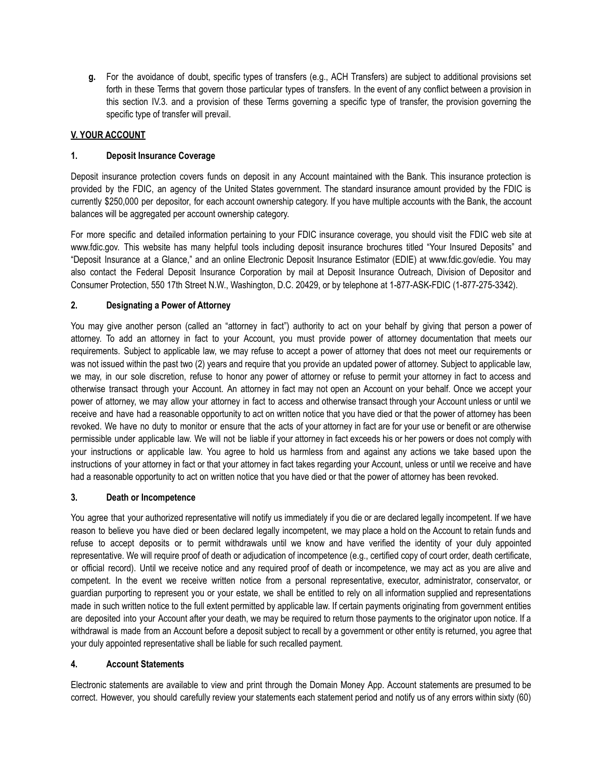**g.** For the avoidance of doubt, specific types of transfers (e.g., ACH Transfers) are subject to additional provisions set forth in these Terms that govern those particular types of transfers. In the event of any conflict between a provision in this section IV.3. and a provision of these Terms governing a specific type of transfer, the provision governing the specific type of transfer will prevail.

# **V. YOUR ACCOUNT**

## **1. Deposit Insurance Coverage**

Deposit insurance protection covers funds on deposit in any Account maintained with the Bank. This insurance protection is provided by the FDIC, an agency of the United States government. The standard insurance amount provided by the FDIC is currently \$250,000 per depositor, for each account ownership category. If you have multiple accounts with the Bank, the account balances will be aggregated per account ownership category.

For more specific and detailed information pertaining to your FDIC insurance coverage, you should visit the FDIC web site at www.fdic.gov. This website has many helpful tools including deposit insurance brochures titled "Your Insured Deposits" and "Deposit Insurance at a Glance," and an online Electronic Deposit Insurance Estimator (EDIE) at www.fdic.gov/edie. You may also contact the Federal Deposit Insurance Corporation by mail at Deposit Insurance Outreach, Division of Depositor and Consumer Protection, 550 17th Street N.W., Washington, D.C. 20429, or by telephone at 1-877-ASK-FDIC (1-877-275-3342).

# **2. Designating a Power of Attorney**

You may give another person (called an "attorney in fact") authority to act on your behalf by giving that person a power of attorney. To add an attorney in fact to your Account, you must provide power of attorney documentation that meets our requirements. Subject to applicable law, we may refuse to accept a power of attorney that does not meet our requirements or was not issued within the past two (2) years and require that you provide an updated power of attorney. Subject to applicable law, we may, in our sole discretion, refuse to honor any power of attorney or refuse to permit your attorney in fact to access and otherwise transact through your Account. An attorney in fact may not open an Account on your behalf. Once we accept your power of attorney, we may allow your attorney in fact to access and otherwise transact through your Account unless or until we receive and have had a reasonable opportunity to act on written notice that you have died or that the power of attorney has been revoked. We have no duty to monitor or ensure that the acts of your attorney in fact are for your use or benefit or are otherwise permissible under applicable law. We will not be liable if your attorney in fact exceeds his or her powers or does not comply with your instructions or applicable law. You agree to hold us harmless from and against any actions we take based upon the instructions of your attorney in fact or that your attorney in fact takes regarding your Account, unless or until we receive and have had a reasonable opportunity to act on written notice that you have died or that the power of attorney has been revoked.

## **3. Death or Incompetence**

You agree that your authorized representative will notify us immediately if you die or are declared legally incompetent. If we have reason to believe you have died or been declared legally incompetent, we may place a hold on the Account to retain funds and refuse to accept deposits or to permit withdrawals until we know and have verified the identity of your duly appointed representative. We will require proof of death or adjudication of incompetence (e.g., certified copy of court order, death certificate, or official record). Until we receive notice and any required proof of death or incompetence, we may act as you are alive and competent. In the event we receive written notice from a personal representative, executor, administrator, conservator, or guardian purporting to represent you or your estate, we shall be entitled to rely on all information supplied and representations made in such written notice to the full extent permitted by applicable law. If certain payments originating from government entities are deposited into your Account after your death, we may be required to return those payments to the originator upon notice. If a withdrawal is made from an Account before a deposit subject to recall by a government or other entity is returned, you agree that your duly appointed representative shall be liable for such recalled payment.

## **4. Account Statements**

Electronic statements are available to view and print through the Domain Money App. Account statements are presumed to be correct. However, you should carefully review your statements each statement period and notify us of any errors within sixty (60)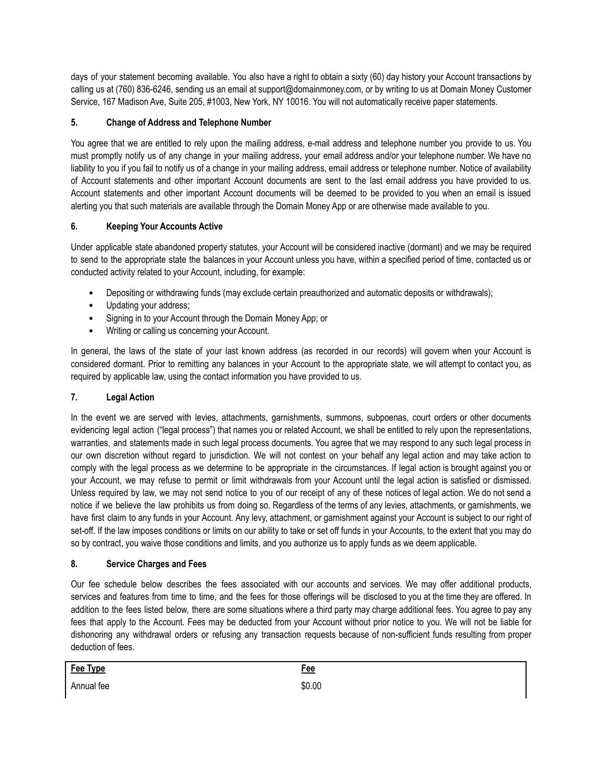days of your statement becoming available. You also have a right to obtain a sixty (60) day history your Account transactions by calling us at (760) 836-6246, sending us an email at support@domainmoney.com, or by writing to us at Domain Money Customer Service, 167 Madison Ave, Suite 205, #1003, New York, NY 10016. You will not automatically receive paper statements.

# **5. Change of Address and Telephone Number**

You agree that we are entitled to rely upon the mailing address, e-mail address and telephone number you provide to us. You must promptly notify us of any change in your mailing address, your email address and/or your telephone number. We have no liability to you if you fail to notify us of a change in your mailing address, email address or telephone number. Notice of availability of Account statements and other important Account documents are sent to the last email address you have provided to us. Account statements and other important Account documents will be deemed to be provided to you when an email is issued alerting you that such materials are available through the Domain Money App or are otherwise made available to you.

# **6. Keeping Your Accounts Active**

Under applicable state abandoned property statutes, your Account will be considered inactive (dormant) and we may be required to send to the appropriate state the balances in your Account unless you have, within a specified period of time, contacted us or conducted activity related to your Account, including, for example:

- Depositing or withdrawing funds (may exclude certain preauthorized and automatic deposits or withdrawals);
- Updating your address;
- Signing in to your Account through the Domain Money App; or
- Writing or calling us concerning your Account.

In general, the laws of the state of your last known address (as recorded in our records) will govern when your Account is considered dormant. Prior to remitting any balances in your Account to the appropriate state, we will attempt to contact you, as required by applicable law, using the contact information you have provided to us.

## **7. Legal Action**

In the event we are served with levies, attachments, garnishments, summons, subpoenas, court orders or other documents evidencing legal action ("legal process") that names you or related Account, we shall be entitled to rely upon the representations, warranties, and statements made in such legal process documents. You agree that we may respond to any such legal process in our own discretion without regard to jurisdiction. We will not contest on your behalf any legal action and may take action to comply with the legal process as we determine to be appropriate in the circumstances. If legal action is brought against you or your Account, we may refuse to permit or limit withdrawals from your Account until the legal action is satisfied or dismissed. Unless required by law, we may not send notice to you of our receipt of any of these notices of legal action. We do not send a notice if we believe the law prohibits us from doing so. Regardless of the terms of any levies, attachments, or garnishments, we have first claim to any funds in your Account. Any levy, attachment, or garnishment against your Account is subject to our right of set-off. If the law imposes conditions or limits on our ability to take or set off funds in your Accounts, to the extent that you may do so by contract, you waive those conditions and limits, and you authorize us to apply funds as we deem applicable.

## **8. Service Charges and Fees**

Our fee schedule below describes the fees associated with our accounts and services. We may offer additional products, services and features from time to time, and the fees for those offerings will be disclosed to you at the time they are offered. In addition to the fees listed below, there are some situations where a third party may charge additional fees. You agree to pay any fees that apply to the Account. Fees may be deducted from your Account without prior notice to you. We will not be liable for dishonoring any withdrawal orders or refusing any transaction requests because of non-sufficient funds resulting from proper deduction of fees.

| Fee Type   | <b>Fee</b><br>____ |
|------------|--------------------|
| Annual fee | \$0.00             |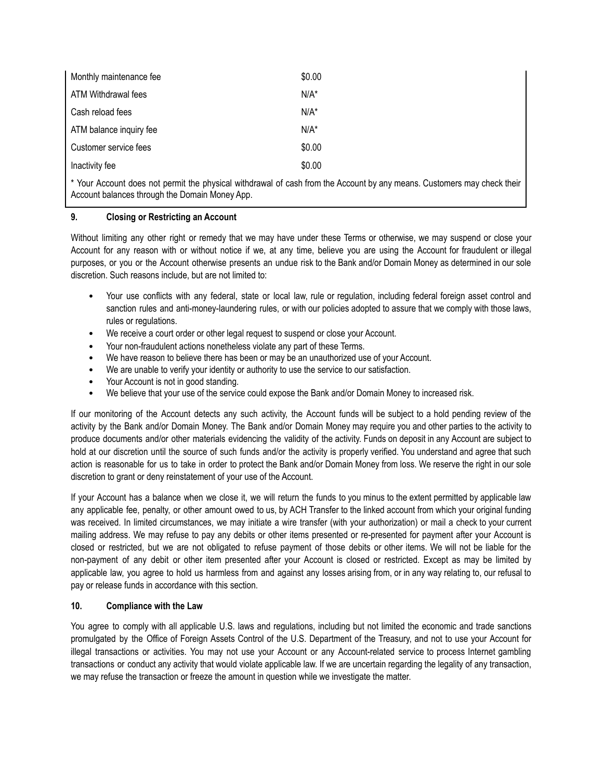| Monthly maintenance fee                                                                                                          | \$0.00  |
|----------------------------------------------------------------------------------------------------------------------------------|---------|
| ATM Withdrawal fees                                                                                                              | $N/A^*$ |
| Cash reload fees                                                                                                                 | $N/A^*$ |
| ATM balance inquiry fee                                                                                                          | $N/A^*$ |
| Customer service fees                                                                                                            | \$0.00  |
| Inactivity fee                                                                                                                   | \$0.00  |
| $\star$ V/s is A constructed by the second legal state of the function of a construction of the second construction of the $t$ - |         |

Your Account does not permit the physical withdrawal of cash from the Account by any means. Customers may check their Account balances through the Domain Money App.

#### **9. Closing or Restricting an Account**

Without limiting any other right or remedy that we may have under these Terms or otherwise, we may suspend or close your Account for any reason with or without notice if we, at any time, believe you are using the Account for fraudulent or illegal purposes, or you or the Account otherwise presents an undue risk to the Bank and/or Domain Money as determined in our sole discretion. Such reasons include, but are not limited to:

- Your use conflicts with any federal, state or local law, rule or regulation, including federal foreign asset control and sanction rules and anti-money-laundering rules, or with our policies adopted to assure that we comply with those laws, rules or regulations.
- We receive a court order or other legal request to suspend or close your Account.
- Your non-fraudulent actions nonetheless violate any part of these Terms.
- We have reason to believe there has been or may be an unauthorized use of your Account.
- We are unable to verify your identity or authority to use the service to our satisfaction.
- Your Account is not in good standing.
- We believe that your use of the service could expose the Bank and/or Domain Money to increased risk.

If our monitoring of the Account detects any such activity, the Account funds will be subject to a hold pending review of the activity by the Bank and/or Domain Money. The Bank and/or Domain Money may require you and other parties to the activity to produce documents and/or other materials evidencing the validity of the activity. Funds on deposit in any Account are subject to hold at our discretion until the source of such funds and/or the activity is properly verified. You understand and agree that such action is reasonable for us to take in order to protect the Bank and/or Domain Money from loss. We reserve the right in our sole discretion to grant or deny reinstatement of your use of the Account.

If your Account has a balance when we close it, we will return the funds to you minus to the extent permitted by applicable law any applicable fee, penalty, or other amount owed to us, by ACH Transfer to the linked account from which your original funding was received. In limited circumstances, we may initiate a wire transfer (with your authorization) or mail a check to your current mailing address. We may refuse to pay any debits or other items presented or re-presented for payment after your Account is closed or restricted, but we are not obligated to refuse payment of those debits or other items. We will not be liable for the non-payment of any debit or other item presented after your Account is closed or restricted. Except as may be limited by applicable law, you agree to hold us harmless from and against any losses arising from, or in any way relating to, our refusal to pay or release funds in accordance with this section.

## **10. Compliance with the Law**

You agree to comply with all applicable U.S. laws and regulations, including but not limited the economic and trade sanctions promulgated by the Office of Foreign Assets Control of the U.S. Department of the Treasury, and not to use your Account for illegal transactions or activities. You may not use your Account or any Account-related service to process Internet gambling transactions or conduct any activity that would violate applicable law. If we are uncertain regarding the legality of any transaction, we may refuse the transaction or freeze the amount in question while we investigate the matter.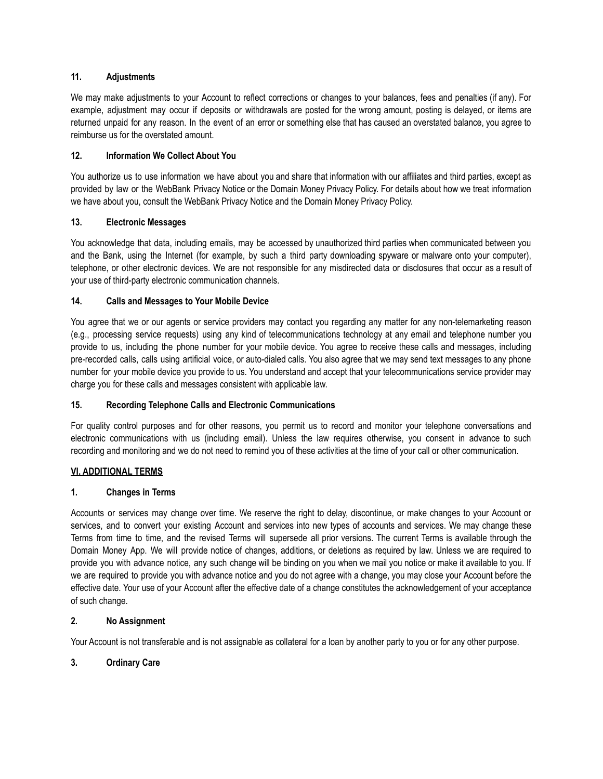## **11. Adjustments**

We may make adjustments to your Account to reflect corrections or changes to your balances, fees and penalties (if any). For example, adjustment may occur if deposits or withdrawals are posted for the wrong amount, posting is delayed, or items are returned unpaid for any reason. In the event of an error or something else that has caused an overstated balance, you agree to reimburse us for the overstated amount.

## **12. Information We Collect About You**

You authorize us to use information we have about you and share that information with our affiliates and third parties, except as provided by law or the WebBank Privacy Notice or the Domain Money Privacy Policy. For details about how we treat information we have about you, consult the WebBank Privacy Notice and the Domain Money Privacy Policy.

#### **13. Electronic Messages**

You acknowledge that data, including emails, may be accessed by unauthorized third parties when communicated between you and the Bank, using the Internet (for example, by such a third party downloading spyware or malware onto your computer), telephone, or other electronic devices. We are not responsible for any misdirected data or disclosures that occur as a result of your use of third-party electronic communication channels.

#### **14. Calls and Messages to Your Mobile Device**

You agree that we or our agents or service providers may contact you regarding any matter for any non-telemarketing reason (e.g., processing service requests) using any kind of telecommunications technology at any email and telephone number you provide to us, including the phone number for your mobile device. You agree to receive these calls and messages, including pre-recorded calls, calls using artificial voice, or auto-dialed calls. You also agree that we may send text messages to any phone number for your mobile device you provide to us. You understand and accept that your telecommunications service provider may charge you for these calls and messages consistent with applicable law.

## **15. Recording Telephone Calls and Electronic Communications**

For quality control purposes and for other reasons, you permit us to record and monitor your telephone conversations and electronic communications with us (including email). Unless the law requires otherwise, you consent in advance to such recording and monitoring and we do not need to remind you of these activities at the time of your call or other communication.

#### **VI. ADDITIONAL TERMS**

## **1. Changes in Terms**

Accounts or services may change over time. We reserve the right to delay, discontinue, or make changes to your Account or services, and to convert your existing Account and services into new types of accounts and services. We may change these Terms from time to time, and the revised Terms will supersede all prior versions. The current Terms is available through the Domain Money App. We will provide notice of changes, additions, or deletions as required by law. Unless we are required to provide you with advance notice, any such change will be binding on you when we mail you notice or make it available to you. If we are required to provide you with advance notice and you do not agree with a change, you may close your Account before the effective date. Your use of your Account after the effective date of a change constitutes the acknowledgement of your acceptance of such change.

#### **2. No Assignment**

Your Account is not transferable and is not assignable as collateral for a loan by another party to you or for any other purpose.

## **3. Ordinary Care**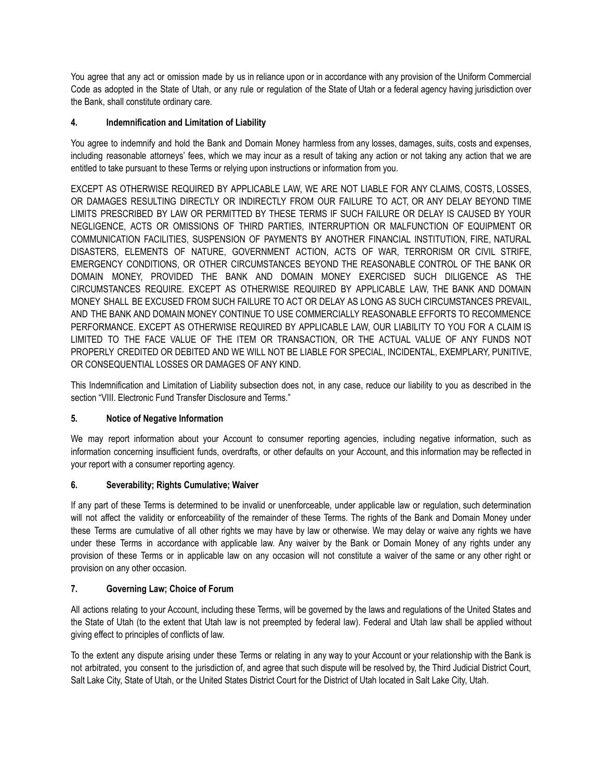You agree that any act or omission made by us in reliance upon or in accordance with any provision of the Uniform Commercial Code as adopted in the State of Utah, or any rule or regulation of the State of Utah or a federal agency having jurisdiction over the Bank, shall constitute ordinary care.

# **4. Indemnification and Limitation of Liability**

You agree to indemnify and hold the Bank and Domain Money harmless from any losses, damages, suits, costs and expenses, including reasonable attorneys' fees, which we may incur as a result of taking any action or not taking any action that we are entitled to take pursuant to these Terms or relying upon instructions or information from you.

EXCEPT AS OTHERWISE REQUIRED BY APPLICABLE LAW, WE ARE NOT LIABLE FOR ANY CLAIMS, COSTS, LOSSES, OR DAMAGES RESULTING DIRECTLY OR INDIRECTLY FROM OUR FAILURE TO ACT, OR ANY DELAY BEYOND TIME LIMITS PRESCRIBED BY LAW OR PERMITTED BY THESE TERMS IF SUCH FAILURE OR DELAY IS CAUSED BY YOUR NEGLIGENCE, ACTS OR OMISSIONS OF THIRD PARTIES, INTERRUPTION OR MALFUNCTION OF EQUIPMENT OR COMMUNICATION FACILITIES, SUSPENSION OF PAYMENTS BY ANOTHER FINANCIAL INSTITUTION, FIRE, NATURAL DISASTERS, ELEMENTS OF NATURE, GOVERNMENT ACTION, ACTS OF WAR, TERRORISM OR CIVIL STRIFE, EMERGENCY CONDITIONS, OR OTHER CIRCUMSTANCES BEYOND THE REASONABLE CONTROL OF THE BANK OR DOMAIN MONEY, PROVIDED THE BANK AND DOMAIN MONEY EXERCISED SUCH DILIGENCE AS THE CIRCUMSTANCES REQUIRE. EXCEPT AS OTHERWISE REQUIRED BY APPLICABLE LAW, THE BANK AND DOMAIN MONEY SHALL BE EXCUSED FROM SUCH FAILURE TO ACT OR DELAY AS LONG AS SUCH CIRCUMSTANCES PREVAIL, AND THE BANK AND DOMAIN MONEY CONTINUE TO USE COMMERCIALLY REASONABLE EFFORTS TO RECOMMENCE PERFORMANCE. EXCEPT AS OTHERWISE REQUIRED BY APPLICABLE LAW, OUR LIABILITY TO YOU FOR A CLAIM IS LIMITED TO THE FACE VALUE OF THE ITEM OR TRANSACTION, OR THE ACTUAL VALUE OF ANY FUNDS NOT PROPERLY CREDITED OR DEBITED AND WE WILL NOT BE LIABLE FOR SPECIAL, INCIDENTAL, EXEMPLARY, PUNITIVE, OR CONSEQUENTIAL LOSSES OR DAMAGES OF ANY KIND.

This Indemnification and Limitation of Liability subsection does not, in any case, reduce our liability to you as described in the section "VIII. Electronic Fund Transfer Disclosure and Terms."

## **5. Notice of Negative Information**

We may report information about your Account to consumer reporting agencies, including negative information, such as information concerning insufficient funds, overdrafts, or other defaults on your Account, and this information may be reflected in your report with a consumer reporting agency.

## **6. Severability; Rights Cumulative; Waiver**

If any part of these Terms is determined to be invalid or unenforceable, under applicable law or regulation, such determination will not affect the validity or enforceability of the remainder of these Terms. The rights of the Bank and Domain Money under these Terms are cumulative of all other rights we may have by law or otherwise. We may delay or waive any rights we have under these Terms in accordance with applicable law. Any waiver by the Bank or Domain Money of any rights under any provision of these Terms or in applicable law on any occasion will not constitute a waiver of the same or any other right or provision on any other occasion.

## **7. Governing Law; Choice of Forum**

All actions relating to your Account, including these Terms, will be governed by the laws and regulations of the United States and the State of Utah (to the extent that Utah law is not preempted by federal law). Federal and Utah law shall be applied without giving effect to principles of conflicts of law.

To the extent any dispute arising under these Terms or relating in any way to your Account or your relationship with the Bank is not arbitrated, you consent to the jurisdiction of, and agree that such dispute will be resolved by, the Third Judicial District Court, Salt Lake City, State of Utah, or the United States District Court for the District of Utah located in Salt Lake City, Utah.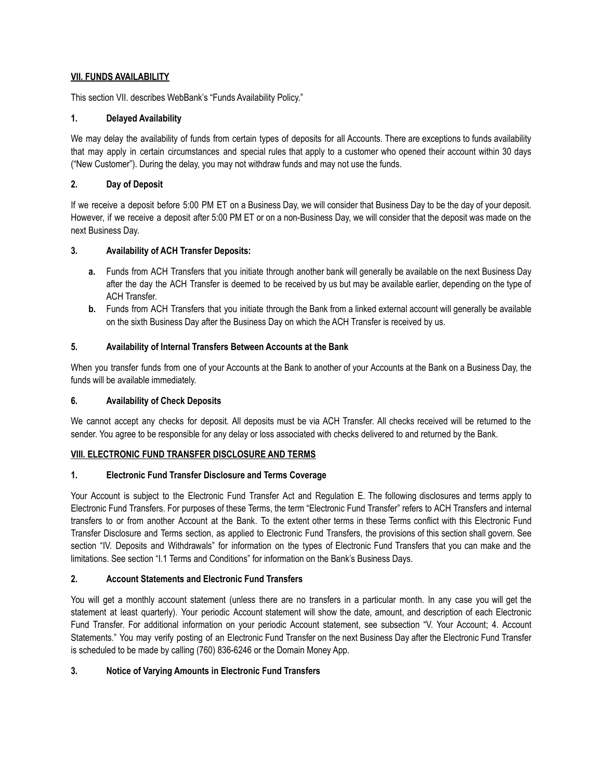## **VII. FUNDS AVAILABILITY**

This section VII. describes WebBank's "Funds Availability Policy."

# **1. Delayed Availability**

We may delay the availability of funds from certain types of deposits for all Accounts. There are exceptions to funds availability that may apply in certain circumstances and special rules that apply to a customer who opened their account within 30 days ("New Customer"). During the delay, you may not withdraw funds and may not use the funds.

# **2. Day of Deposit**

If we receive a deposit before 5:00 PM ET on a Business Day, we will consider that Business Day to be the day of your deposit. However, if we receive a deposit after 5:00 PM ET or on a non-Business Day, we will consider that the deposit was made on the next Business Day.

# **3. Availability of ACH Transfer Deposits:**

- **a.** Funds from ACH Transfers that you initiate through another bank will generally be available on the next Business Day after the day the ACH Transfer is deemed to be received by us but may be available earlier, depending on the type of ACH Transfer.
- **b.** Funds from ACH Transfers that you initiate through the Bank from a linked external account will generally be available on the sixth Business Day after the Business Day on which the ACH Transfer is received by us.

# **5. Availability of Internal Transfers Between Accounts at the Bank**

When you transfer funds from one of your Accounts at the Bank to another of your Accounts at the Bank on a Business Day, the funds will be available immediately.

## **6. Availability of Check Deposits**

We cannot accept any checks for deposit. All deposits must be via ACH Transfer. All checks received will be returned to the sender. You agree to be responsible for any delay or loss associated with checks delivered to and returned by the Bank.

## **VIII. ELECTRONIC FUND TRANSFER DISCLOSURE AND TERMS**

## **1. Electronic Fund Transfer Disclosure and Terms Coverage**

Your Account is subject to the Electronic Fund Transfer Act and Regulation E. The following disclosures and terms apply to Electronic Fund Transfers. For purposes of these Terms, the term "Electronic Fund Transfer" refers to ACH Transfers and internal transfers to or from another Account at the Bank. To the extent other terms in these Terms conflict with this Electronic Fund Transfer Disclosure and Terms section, as applied to Electronic Fund Transfers, the provisions of this section shall govern. See section "IV. Deposits and Withdrawals" for information on the types of Electronic Fund Transfers that you can make and the limitations. See section "I.1 Terms and Conditions" for information on the Bank's Business Days.

# **2. Account Statements and Electronic Fund Transfers**

You will get a monthly account statement (unless there are no transfers in a particular month. In any case you will get the statement at least quarterly). Your periodic Account statement will show the date, amount, and description of each Electronic Fund Transfer. For additional information on your periodic Account statement, see subsection "V. Your Account; 4. Account Statements." You may verify posting of an Electronic Fund Transfer on the next Business Day after the Electronic Fund Transfer is scheduled to be made by calling (760) 836-6246 or the Domain Money App.

# **3. Notice of Varying Amounts in Electronic Fund Transfers**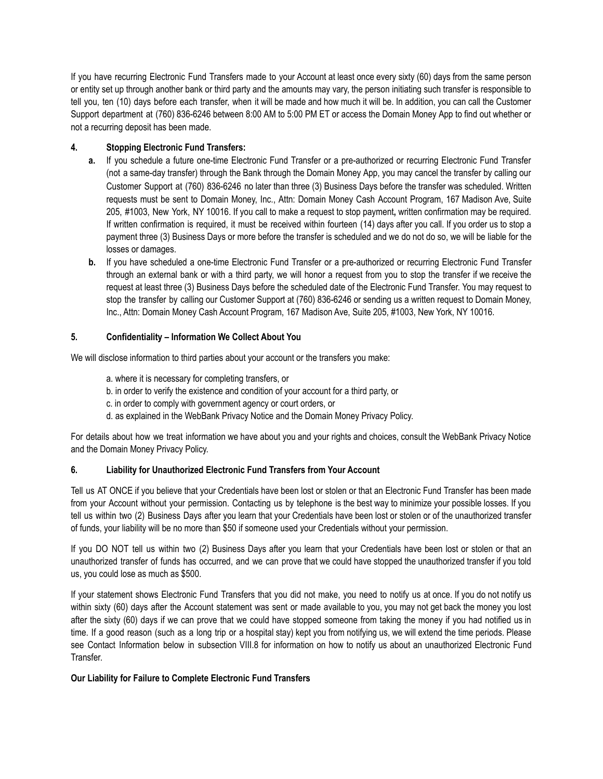If you have recurring Electronic Fund Transfers made to your Account at least once every sixty (60) days from the same person or entity set up through another bank or third party and the amounts may vary, the person initiating such transfer is responsible to tell you, ten (10) days before each transfer, when it will be made and how much it will be. In addition, you can call the Customer Support department at (760) 836-6246 between 8:00 AM to 5:00 PM ET or access the Domain Money App to find out whether or not a recurring deposit has been made.

## **4. Stopping Electronic Fund Transfers:**

- **a.** If you schedule a future one-time Electronic Fund Transfer or a pre-authorized or recurring Electronic Fund Transfer (not a same-day transfer) through the Bank through the Domain Money App, you may cancel the transfer by calling our Customer Support at (760) 836-6246 no later than three (3) Business Days before the transfer was scheduled. Written requests must be sent to Domain Money, Inc., Attn: Domain Money Cash Account Program, 167 Madison Ave, Suite 205, #1003, New York, NY 10016. If you call to make a request to stop payment**,** written confirmation may be required. If written confirmation is required, it must be received within fourteen (14) days after you call. If you order us to stop a payment three (3) Business Days or more before the transfer is scheduled and we do not do so, we will be liable for the losses or damages.
- **b.** If you have scheduled a one-time Electronic Fund Transfer or a pre-authorized or recurring Electronic Fund Transfer through an external bank or with a third party, we will honor a request from you to stop the transfer if we receive the request at least three (3) Business Days before the scheduled date of the Electronic Fund Transfer. You may request to stop the transfer by calling our Customer Support at (760) 836-6246 or sending us a written request to Domain Money, Inc., Attn: Domain Money Cash Account Program, 167 Madison Ave, Suite 205, #1003, New York, NY 10016.

## **5. Confidentiality – Information We Collect About You**

We will disclose information to third parties about your account or the transfers you make:

- a. where it is necessary for completing transfers, or
- b. in order to verify the existence and condition of your account for a third party, or
- c. in order to comply with government agency or court orders, or
- d. as explained in the WebBank Privacy Notice and the Domain Money Privacy Policy.

For details about how we treat information we have about you and your rights and choices, consult the WebBank Privacy Notice and the Domain Money Privacy Policy.

## **6. Liability for Unauthorized Electronic Fund Transfers from Your Account**

Tell us AT ONCE if you believe that your Credentials have been lost or stolen or that an Electronic Fund Transfer has been made from your Account without your permission. Contacting us by telephone is the best way to minimize your possible losses. If you tell us within two (2) Business Days after you learn that your Credentials have been lost or stolen or of the unauthorized transfer of funds, your liability will be no more than \$50 if someone used your Credentials without your permission.

If you DO NOT tell us within two (2) Business Days after you learn that your Credentials have been lost or stolen or that an unauthorized transfer of funds has occurred, and we can prove that we could have stopped the unauthorized transfer if you told us, you could lose as much as \$500.

If your statement shows Electronic Fund Transfers that you did not make, you need to notify us at once. If you do not notify us within sixty (60) days after the Account statement was sent or made available to you, you may not get back the money you lost after the sixty (60) days if we can prove that we could have stopped someone from taking the money if you had notified us in time. If a good reason (such as a long trip or a hospital stay) kept you from notifying us, we will extend the time periods. Please see Contact Information below in subsection VIII.8 for information on how to notify us about an unauthorized Electronic Fund Transfer.

## **Our Liability for Failure to Complete Electronic Fund Transfers**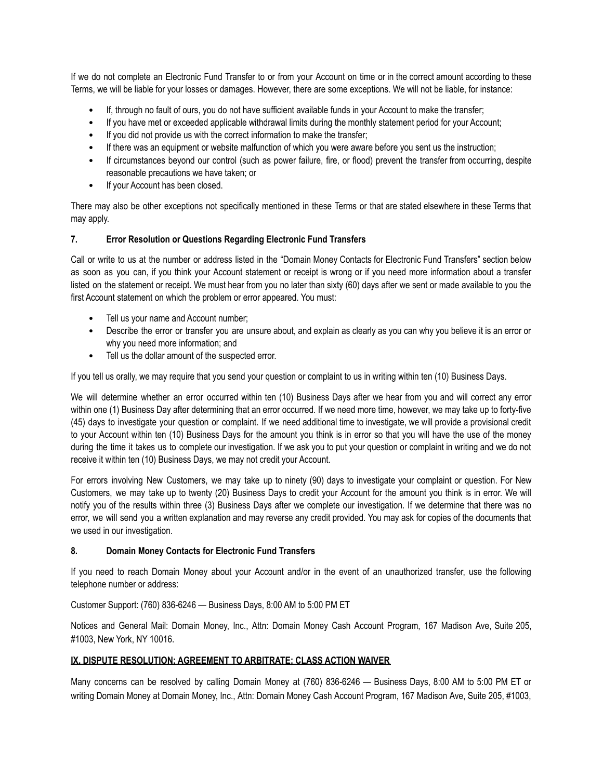If we do not complete an Electronic Fund Transfer to or from your Account on time or in the correct amount according to these Terms, we will be liable for your losses or damages. However, there are some exceptions. We will not be liable, for instance:

- If, through no fault of ours, you do not have sufficient available funds in your Account to make the transfer;
- If you have met or exceeded applicable withdrawal limits during the monthly statement period for your Account;
- If you did not provide us with the correct information to make the transfer;
- If there was an equipment or website malfunction of which you were aware before you sent us the instruction:
- If circumstances beyond our control (such as power failure, fire, or flood) prevent the transfer from occurring, despite reasonable precautions we have taken; or
- If your Account has been closed.

There may also be other exceptions not specifically mentioned in these Terms or that are stated elsewhere in these Terms that may apply.

#### **7. Error Resolution or Questions Regarding Electronic Fund Transfers**

Call or write to us at the number or address listed in the "Domain Money Contacts for Electronic Fund Transfers" section below as soon as you can, if you think your Account statement or receipt is wrong or if you need more information about a transfer listed on the statement or receipt. We must hear from you no later than sixty (60) days after we sent or made available to you the first Account statement on which the problem or error appeared. You must:

- Tell us your name and Account number;
- Describe the error or transfer you are unsure about, and explain as clearly as you can why you believe it is an error or why you need more information; and
- Tell us the dollar amount of the suspected error.

If you tell us orally, we may require that you send your question or complaint to us in writing within ten (10) Business Days.

We will determine whether an error occurred within ten (10) Business Days after we hear from you and will correct any error within one (1) Business Day after determining that an error occurred. If we need more time, however, we may take up to forty-five (45) days to investigate your question or complaint. If we need additional time to investigate, we will provide a provisional credit to your Account within ten (10) Business Days for the amount you think is in error so that you will have the use of the money during the time it takes us to complete our investigation. If we ask you to put your question or complaint in writing and we do not receive it within ten (10) Business Days, we may not credit your Account.

For errors involving New Customers, we may take up to ninety (90) days to investigate your complaint or question. For New Customers, we may take up to twenty (20) Business Days to credit your Account for the amount you think is in error. We will notify you of the results within three (3) Business Days after we complete our investigation. If we determine that there was no error, we will send you a written explanation and may reverse any credit provided. You may ask for copies of the documents that we used in our investigation.

#### **8. Domain Money Contacts for Electronic Fund Transfers**

If you need to reach Domain Money about your Account and/or in the event of an unauthorized transfer, use the following telephone number or address:

Customer Support: (760) 836-6246 — Business Days, 8:00 AM to 5:00 PM ET

Notices and General Mail: Domain Money, Inc., Attn: Domain Money Cash Account Program, 167 Madison Ave, Suite 205, #1003, New York, NY 10016.

#### **IX. DISPUTE RESOLUTION; AGREEMENT TO ARBITRATE; CLASS ACTION WAIVER**

Many concerns can be resolved by calling Domain Money at (760) 836-6246 — Business Days, 8:00 AM to 5:00 PM ET or writing Domain Money at Domain Money, Inc., Attn: Domain Money Cash Account Program, 167 Madison Ave, Suite 205, #1003,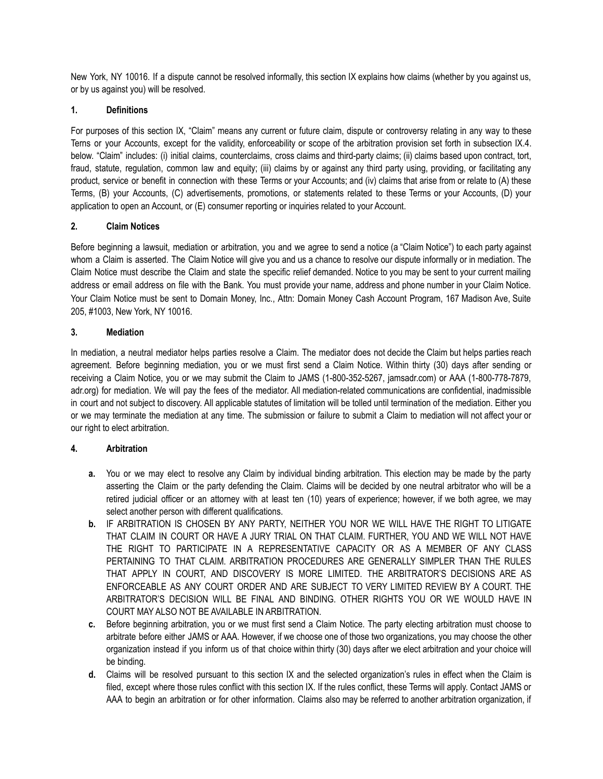New York, NY 10016. If a dispute cannot be resolved informally, this section IX explains how claims (whether by you against us, or by us against you) will be resolved.

## **1. Definitions**

For purposes of this section IX, "Claim" means any current or future claim, dispute or controversy relating in any way to these Terns or your Accounts, except for the validity, enforceability or scope of the arbitration provision set forth in subsection IX.4. below. "Claim" includes: (i) initial claims, counterclaims, cross claims and third-party claims; (ii) claims based upon contract, tort, fraud, statute, regulation, common law and equity; (iii) claims by or against any third party using, providing, or facilitating any product, service or benefit in connection with these Terms or your Accounts; and (iv) claims that arise from or relate to (A) these Terms, (B) your Accounts, (C) advertisements, promotions, or statements related to these Terms or your Accounts, (D) your application to open an Account, or (E) consumer reporting or inquiries related to your Account.

#### **2. Claim Notices**

Before beginning a lawsuit, mediation or arbitration, you and we agree to send a notice (a "Claim Notice") to each party against whom a Claim is asserted. The Claim Notice will give you and us a chance to resolve our dispute informally or in mediation. The Claim Notice must describe the Claim and state the specific relief demanded. Notice to you may be sent to your current mailing address or email address on file with the Bank. You must provide your name, address and phone number in your Claim Notice. Your Claim Notice must be sent to Domain Money, Inc., Attn: Domain Money Cash Account Program, 167 Madison Ave, Suite 205, #1003, New York, NY 10016.

#### **3. Mediation**

In mediation, a neutral mediator helps parties resolve a Claim. The mediator does not decide the Claim but helps parties reach agreement. Before beginning mediation, you or we must first send a Claim Notice. Within thirty (30) days after sending or receiving a Claim Notice, you or we may submit the Claim to JAMS (1-800-352-5267, jamsadr.com) or AAA (1-800-778-7879, adr.org) for mediation. We will pay the fees of the mediator. All mediation-related communications are confidential, inadmissible in court and not subject to discovery. All applicable statutes of limitation will be tolled until termination of the mediation. Either you or we may terminate the mediation at any time. The submission or failure to submit a Claim to mediation will not affect your or our right to elect arbitration.

## **4. Arbitration**

- **a.** You or we may elect to resolve any Claim by individual binding arbitration. This election may be made by the party asserting the Claim or the party defending the Claim. Claims will be decided by one neutral arbitrator who will be a retired judicial officer or an attorney with at least ten (10) years of experience; however, if we both agree, we may select another person with different qualifications.
- **b.** IF ARBITRATION IS CHOSEN BY ANY PARTY, NEITHER YOU NOR WE WILL HAVE THE RIGHT TO LITIGATE THAT CLAIM IN COURT OR HAVE A JURY TRIAL ON THAT CLAIM. FURTHER, YOU AND WE WILL NOT HAVE THE RIGHT TO PARTICIPATE IN A REPRESENTATIVE CAPACITY OR AS A MEMBER OF ANY CLASS PERTAINING TO THAT CLAIM. ARBITRATION PROCEDURES ARE GENERALLY SIMPLER THAN THE RULES THAT APPLY IN COURT, AND DISCOVERY IS MORE LIMITED. THE ARBITRATOR'S DECISIONS ARE AS ENFORCEABLE AS ANY COURT ORDER AND ARE SUBJECT TO VERY LIMITED REVIEW BY A COURT. THE ARBITRATOR'S DECISION WILL BE FINAL AND BINDING. OTHER RIGHTS YOU OR WE WOULD HAVE IN COURT MAY ALSO NOT BE AVAILABLE IN ARBITRATION.
- **c.** Before beginning arbitration, you or we must first send a Claim Notice. The party electing arbitration must choose to arbitrate before either JAMS or AAA. However, if we choose one of those two organizations, you may choose the other organization instead if you inform us of that choice within thirty (30) days after we elect arbitration and your choice will be binding.
- **d.** Claims will be resolved pursuant to this section IX and the selected organization's rules in effect when the Claim is filed, except where those rules conflict with this section IX. If the rules conflict, these Terms will apply. Contact JAMS or AAA to begin an arbitration or for other information. Claims also may be referred to another arbitration organization, if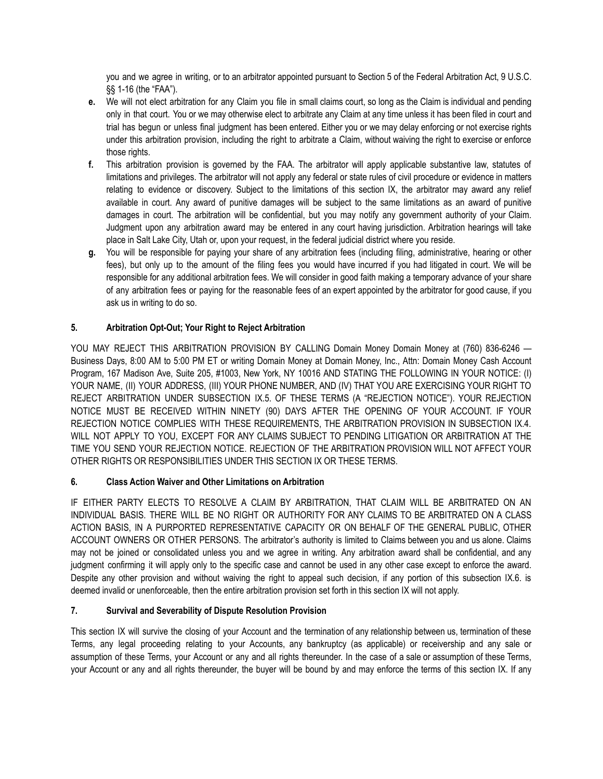you and we agree in writing, or to an arbitrator appointed pursuant to Section 5 of the Federal Arbitration Act, 9 U.S.C. §§ 1-16 (the "FAA").

- **e.** We will not elect arbitration for any Claim you file in small claims court, so long as the Claim is individual and pending only in that court. You or we may otherwise elect to arbitrate any Claim at any time unless it has been filed in court and trial has begun or unless final judgment has been entered. Either you or we may delay enforcing or not exercise rights under this arbitration provision, including the right to arbitrate a Claim, without waiving the right to exercise or enforce those rights.
- **f.** This arbitration provision is governed by the FAA. The arbitrator will apply applicable substantive law, statutes of limitations and privileges. The arbitrator will not apply any federal or state rules of civil procedure or evidence in matters relating to evidence or discovery. Subject to the limitations of this section IX, the arbitrator may award any relief available in court. Any award of punitive damages will be subject to the same limitations as an award of punitive damages in court. The arbitration will be confidential, but you may notify any government authority of your Claim. Judgment upon any arbitration award may be entered in any court having jurisdiction. Arbitration hearings will take place in Salt Lake City, Utah or, upon your request, in the federal judicial district where you reside.
- **g.** You will be responsible for paying your share of any arbitration fees (including filing, administrative, hearing or other fees), but only up to the amount of the filing fees you would have incurred if you had litigated in court. We will be responsible for any additional arbitration fees. We will consider in good faith making a temporary advance of your share of any arbitration fees or paying for the reasonable fees of an expert appointed by the arbitrator for good cause, if you ask us in writing to do so.

# **5. Arbitration Opt-Out; Your Right to Reject Arbitration**

YOU MAY REJECT THIS ARBITRATION PROVISION BY CALLING Domain Money Domain Money at (760) 836-6246 -Business Days, 8:00 AM to 5:00 PM ET or writing Domain Money at Domain Money, Inc., Attn: Domain Money Cash Account Program, 167 Madison Ave, Suite 205, #1003, New York, NY 10016 AND STATING THE FOLLOWING IN YOUR NOTICE: (I) YOUR NAME, (II) YOUR ADDRESS, (III) YOUR PHONE NUMBER, AND (IV) THAT YOU ARE EXERCISING YOUR RIGHT TO REJECT ARBITRATION UNDER SUBSECTION IX.5. OF THESE TERMS (A "REJECTION NOTICE"). YOUR REJECTION NOTICE MUST BE RECEIVED WITHIN NINETY (90) DAYS AFTER THE OPENING OF YOUR ACCOUNT. IF YOUR REJECTION NOTICE COMPLIES WITH THESE REQUIREMENTS, THE ARBITRATION PROVISION IN SUBSECTION IX.4. WILL NOT APPLY TO YOU, EXCEPT FOR ANY CLAIMS SUBJECT TO PENDING LITIGATION OR ARBITRATION AT THE TIME YOU SEND YOUR REJECTION NOTICE. REJECTION OF THE ARBITRATION PROVISION WILL NOT AFFECT YOUR OTHER RIGHTS OR RESPONSIBILITIES UNDER THIS SECTION IX OR THESE TERMS.

# **6. Class Action Waiver and Other Limitations on Arbitration**

IF EITHER PARTY ELECTS TO RESOLVE A CLAIM BY ARBITRATION, THAT CLAIM WILL BE ARBITRATED ON AN INDIVIDUAL BASIS. THERE WILL BE NO RIGHT OR AUTHORITY FOR ANY CLAIMS TO BE ARBITRATED ON A CLASS ACTION BASIS, IN A PURPORTED REPRESENTATIVE CAPACITY OR ON BEHALF OF THE GENERAL PUBLIC, OTHER ACCOUNT OWNERS OR OTHER PERSONS. The arbitrator's authority is limited to Claims between you and us alone. Claims may not be joined or consolidated unless you and we agree in writing. Any arbitration award shall be confidential, and any judgment confirming it will apply only to the specific case and cannot be used in any other case except to enforce the award. Despite any other provision and without waiving the right to appeal such decision, if any portion of this subsection IX.6. is deemed invalid or unenforceable, then the entire arbitration provision set forth in this section IX will not apply.

## **7. Survival and Severability of Dispute Resolution Provision**

This section IX will survive the closing of your Account and the termination of any relationship between us, termination of these Terms, any legal proceeding relating to your Accounts, any bankruptcy (as applicable) or receivership and any sale or assumption of these Terms, your Account or any and all rights thereunder. In the case of a sale or assumption of these Terms, your Account or any and all rights thereunder, the buyer will be bound by and may enforce the terms of this section IX. If any